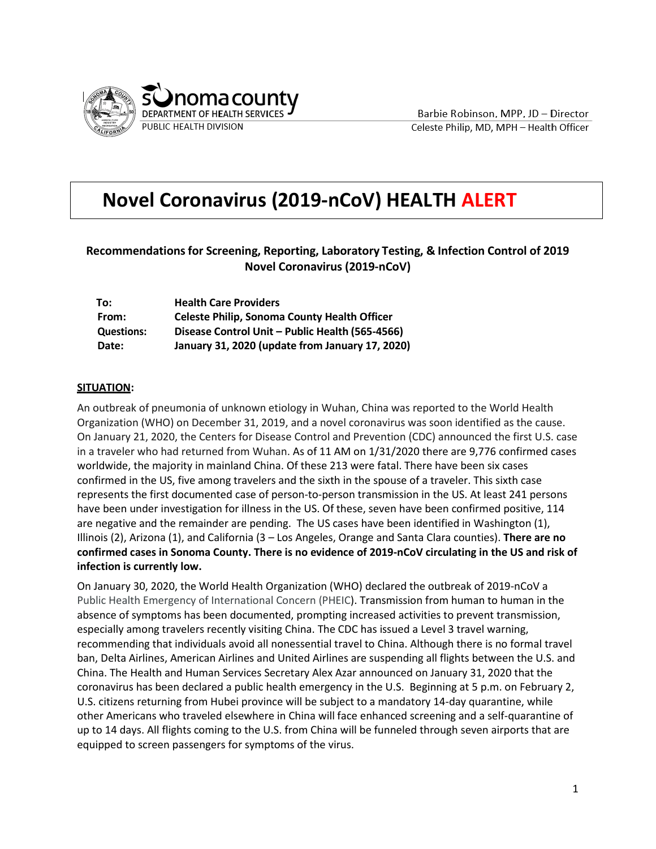

Barbie Robinson, MPP, JD - Director Celeste Philip, MD, MPH - Health Officer

# **Novel Coronavirus (2019-nCoV) HEALTH ALERT**

# **Recommendationsfor Screening, Reporting, Laboratory Testing, & Infection Control of 2019 Novel Coronavirus (2019-nCoV)**

| To:               | <b>Health Care Providers</b>                        |
|-------------------|-----------------------------------------------------|
| From:             | <b>Celeste Philip, Sonoma County Health Officer</b> |
| <b>Questions:</b> | Disease Control Unit - Public Health (565-4566)     |
| Date:             | January 31, 2020 (update from January 17, 2020)     |

#### **SITUATION:**

An outbreak of pneumonia of unknown etiology in Wuhan, China was reported to the World Health Organization (WHO) on December 31, 2019, and a novel coronavirus was soon identified as the cause. On January 21, 2020, the Centers for Disease Control and Prevention (CDC) announced the first U.S. case in a traveler who had returned from Wuhan. As of 11 AM on 1/31/2020 there are 9,776 confirmed cases worldwide, the majority in mainland China. Of these 213 were fatal. There have been six cases confirmed in the US, five among travelers and the sixth in the spouse of a traveler. This sixth case represents the first documented case of person-to-person transmission in the US. At least 241 persons have been under investigation for illness in the US. Of these, seven have been confirmed positive, 114 are negative and the remainder are pending. The US cases have been identified in Washington (1), Illinois (2), Arizona (1), and California (3 – Los Angeles, Orange and Santa Clara counties). **There are no confirmed cases in Sonoma County. There is no evidence of 2019-nCoV circulating in the US and risk of infection is currently low.**

On January 30, 2020, the World Health Organization (WHO) declared the outbreak of 2019-nCoV a Public Health Emergency of International Concern (PHEIC). Transmission from human to human in the absence of symptoms has been documented, prompting increased activities to prevent transmission, especially among travelers recently visiting China. The CDC has issued a Level 3 travel warning, recommending that individuals avoid all nonessential travel to China. Although there is no formal travel ban, Delta Airlines, American Airlines and United Airlines are suspending all flights between the U.S. and China. The Health and Human Services Secretary Alex Azar announced on January 31, 2020 that the coronavirus has been declared a public health emergency in the U.S. Beginning at 5 p.m. on February 2, U.S. citizens returning from Hubei province will be subject to a mandatory 14-day quarantine, while other Americans who traveled elsewhere in China will face enhanced screening and a self-quarantine of up to 14 days. All flights coming to the U.S. from China will be funneled through seven airports that are equipped to screen passengers for symptoms of the virus.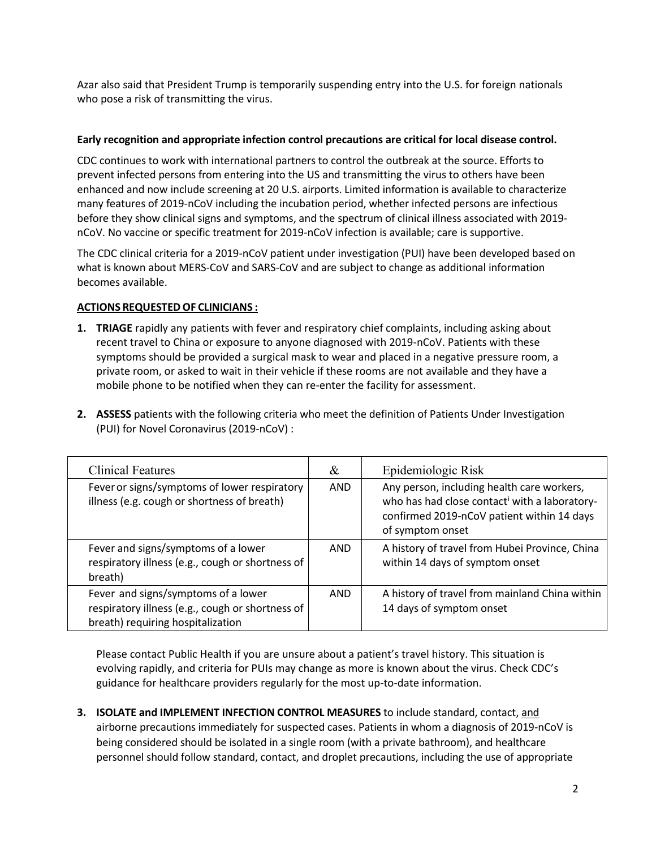Azar also said that President Trump is temporarily suspending entry into the U.S. for foreign nationals who pose a risk of transmitting the virus.

### **Early recognition and appropriate infection control precautions are critical for local disease control.**

CDC continues to work with international partners to control the outbreak at the source. Efforts to prevent infected persons from entering into the US and transmitting the virus to others have been enhanced and now include screening at 20 U.S. airports. Limited information is available to characterize many features of 2019-nCoV including the incubation period, whether infected persons are infectious before they show clinical signs and symptoms, and the spectrum of clinical illness associated with 2019 nCoV. No vaccine or specific treatment for 2019-nCoV infection is available; care is supportive.

The CDC clinical criteria for a 2019-nCoV patient under investigation (PUI) have been developed based on what is known about MERS-CoV and SARS-CoV and are subject to change as additional information becomes available.

## **ACTIONS REQUESTED OF CLINICIANS :**

- **1. TRIAGE** rapidly any patients with fever and respiratory chief complaints, including asking about recent travel to China or exposure to anyone diagnosed with 2019-nCoV. Patients with these symptoms should be provided a surgical mask to wear and placed in a negative pressure room, a private room, or asked to wait in their vehicle if these rooms are not available and they have a mobile phone to be notified when they can re-enter the facility for assessment.
- **2. ASSESS** patients with the following criteria who meet the definition of Patients Under Investigation (PUI) for Novel Coronavirus (2019-nCoV) :

| <b>Clinical Features</b>                                                                                                     | &          | Epidemiologic Risk                                                                                                                                           |
|------------------------------------------------------------------------------------------------------------------------------|------------|--------------------------------------------------------------------------------------------------------------------------------------------------------------|
| Fever or signs/symptoms of lower respiratory<br>illness (e.g. cough or shortness of breath)                                  | AND        | Any person, including health care workers,<br>who has had close contact with a laboratory-<br>confirmed 2019-nCoV patient within 14 days<br>of symptom onset |
| Fever and signs/symptoms of a lower<br>respiratory illness (e.g., cough or shortness of<br>breath)                           | AND.       | A history of travel from Hubei Province, China<br>within 14 days of symptom onset                                                                            |
| Fever and signs/symptoms of a lower<br>respiratory illness (e.g., cough or shortness of<br>breath) requiring hospitalization | <b>AND</b> | A history of travel from mainland China within<br>14 days of symptom onset                                                                                   |

Please contact Public Health if you are unsure about a patient's travel history. This situation is evolving rapidly, and criteria for PUIs may change as more is known about the virus. Check CDC's guidance for healthcare providers regularly for the most up-to-date information.

**3. ISOLATE and IMPLEMENT INFECTION CONTROL MEASURES** to include standard, contact, and airborne precautions immediately for suspected cases. Patients in whom a diagnosis of 2019-nCoV is being considered should be isolated in a single room (with a private bathroom), and healthcare personnel should follow standard, contact, and droplet precautions, including the use of appropriate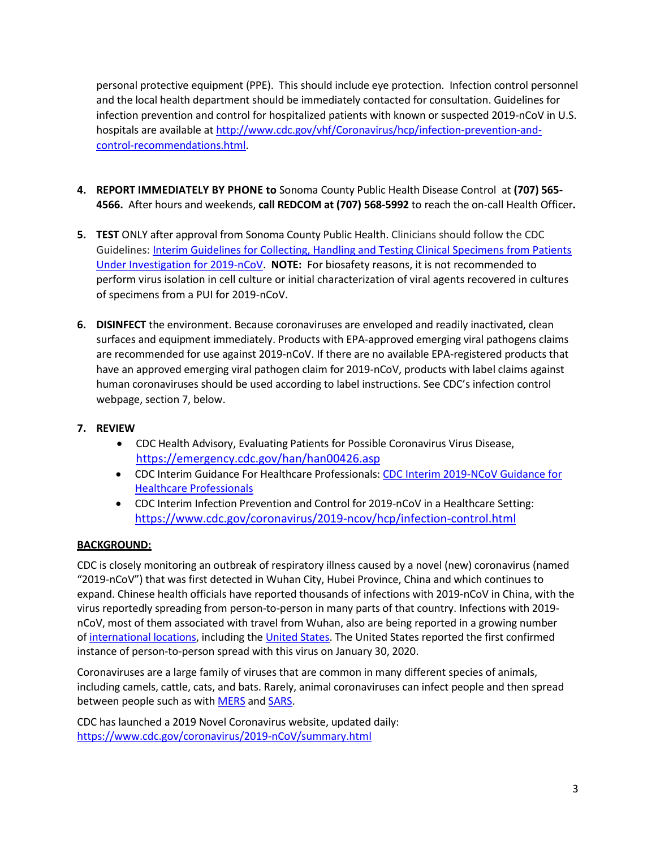personal protective equipment (PPE). This should include eye protection. Infection control personnel and the local health department should be immediately contacted for consultation. Guidelines for infection prevention and control for hospitalized patients with known or suspected 2019-nCoV in U.S. hospitals are available a[t http://www.cdc.gov/vhf/Coronavirus/hcp/infection-prevention-and](http://www.cdc.gov/vhf/ebola/hcp/infection-prevention-and-control-recommendations.html)[control-recommendations.html.](http://www.cdc.gov/vhf/ebola/hcp/infection-prevention-and-control-recommendations.html)

- **4. REPORT IMMEDIATELY BY PHONE to** Sonoma County Public Health Disease Control at **(707) 565- 4566.** After hours and weekends, **call REDCOM at (707) 568-5992** to reach the on-call Health Officer**.**
- **5. TEST** ONLY after approval from Sonoma County Public Health. Clinicians should follow the CDC Guidelines[: Interim Guidelines for Collecting, Handling and Testing Clinical Specimens from Patients](https://www.cdc.gov/coronavirus/2019-nCoV/lab/guidelines-clinical-specimens.html)  [Under Investigation for 2019-nCoV.](https://www.cdc.gov/coronavirus/2019-nCoV/lab/guidelines-clinical-specimens.html) **NOTE:** For biosafety reasons, it is not recommended to perform virus isolation in cell culture or initial characterization of viral agents recovered in cultures of specimens from a PUI for 2019-nCoV.
- **6. DISINFECT** the environment. Because coronaviruses are enveloped and readily inactivated, clean surfaces and equipment immediately. Products with EPA-approved emerging viral pathogens claims are recommended for use against 2019-nCoV. If there are no available EPA-registered products that have an approved emerging viral pathogen claim for 2019-nCoV, products with label claims against human coronaviruses should be used according to label instructions. See CDC's infection control webpage, section 7, below.

## **7. REVIEW**

- CDC Health Advisory, Evaluating Patients for Possible Coronavirus Virus Disease, <https://emergency.cdc.gov/han/han00426.asp>
- CDC Interim Guidance For Healthcare Professionals: [CDC Interim 2019-NCoV Guidance for](https://www.cdc.gov/coronavirus/2019-ncov/hcp/clinical-criteria.html?CDC_AA_refVal=https%3A%2F%2Fwww.cdc.gov%2Fcoronavirus%2F2019-ncov%2Fclinical-criteria.html)  [Healthcare Professionals](https://www.cdc.gov/coronavirus/2019-ncov/hcp/clinical-criteria.html?CDC_AA_refVal=https%3A%2F%2Fwww.cdc.gov%2Fcoronavirus%2F2019-ncov%2Fclinical-criteria.html)
- CDC Interim Infection Prevention and Control for 2019-nCoV in a Healthcare Setting: <https://www.cdc.gov/coronavirus/2019-ncov/hcp/infection-control.html>

## **BACKGROUND:**

CDC is closely monitoring an outbreak of respiratory illness caused by a novel (new) coronavirus (named "2019-nCoV") that was first detected in Wuhan City, Hubei Province, China and which continues to expand. Chinese health officials have reported thousands of infections with 2019-nCoV in China, with the virus reportedly spreading from person-to-person in many parts of that country. Infections with 2019 nCoV, most of them associated with travel from Wuhan, also are being reported in a growing number of [international locations,](https://www.cdc.gov/coronavirus/2019-ncov/locations-confirmed-cases.html#map) including the [United States.](https://www.cdc.gov/coronavirus/2019-ncov/cases-in-us.html) The United States reported the first confirmed instance of person-to-person spread with this virus on January 30, 2020.

Coronaviruses are a large family of viruses that are common in many different species of animals, including camels, cattle, cats, and bats. Rarely, animal coronaviruses can infect people and then spread between people such as with **[MERS](https://www.cdc.gov/coronavirus/mers/index.html)** and **SARS**.

CDC has launched a 2019 Novel Coronavirus website, updated daily: <https://www.cdc.gov/coronavirus/2019-nCoV/summary.html>